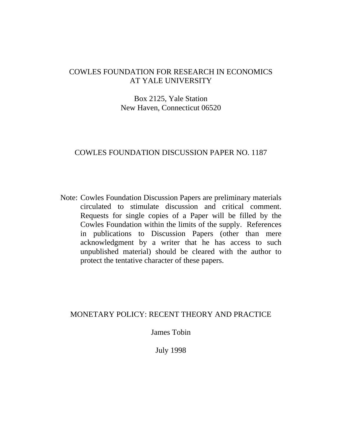## COWLES FOUNDATION FOR RESEARCH IN ECONOMICS AT YALE UNIVERSITY

### Box 2125, Yale Station New Haven, Connecticut 06520

### COWLES FOUNDATION DISCUSSION PAPER NO. 1187

Note: Cowles Foundation Discussion Papers are preliminary materials circulated to stimulate discussion and critical comment. Requests for single copies of a Paper will be filled by the Cowles Foundation within the limits of the supply. References in publications to Discussion Papers (other than mere acknowledgment by a writer that he has access to such unpublished material) should be cleared with the author to protect the tentative character of these papers.

### MONETARY POLICY: RECENT THEORY AND PRACTICE

James Tobin

July 1998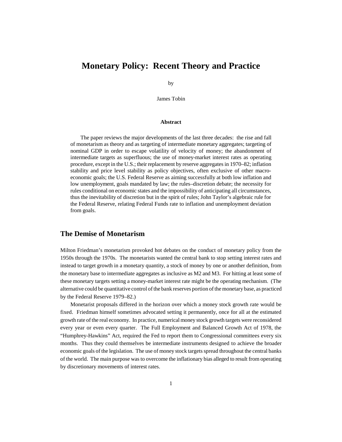# **Monetary Policy: Recent Theory and Practice**

by

James Tobin

#### **Abstract**

The paper reviews the major developments of the last three decades: the rise and fall of monetarism as theory and as targeting of intermediate monetary aggregates; targeting of nominal GDP in order to escape volatility of velocity of money; the abandonment of intermediate targets as superfluous; the use of money-market interest rates as operating procedure, except in the U.S.; their replacement by reserve aggregates in 1970–82; inflation stability and price level stability as policy objectives, often exclusive of other macroeconomic goals; the U.S. Federal Reserve as aiming successfully at both low inflation and low unemployment, goals mandated by law; the rules–discretion debate; the necessity for rules conditional on economic states and the impossibility of anticipating all circumstances, thus the inevitability of discretion but in the spirit of rules; John Taylor's algebraic rule for the Federal Reserve, relating Federal Funds rate to inflation and unemployment deviation from goals.

#### **The Demise of Monetarism**

Milton Friedman's monetarism provoked hot debates on the conduct of monetary policy from the 1950s through the 1970s. The monetarists wanted the central bank to stop setting interest rates and instead to target growth in a monetary quantity, a stock of money by one or another definition, from the monetary base to intermediate aggregates as inclusive as M2 and M3. For hitting at least some of these monetary targets setting a money-market interest rate might be the operating mechanism. (The alternative could be quantitative control of the bank reserves portion of the monetary base, as practiced by the Federal Reserve 1979–82.)

Monetarist proposals differed in the horizon over which a money stock growth rate would be fixed. Friedman himself sometimes advocated setting it permanently, once for all at the estimated growth rate of the real economy. In practice, numerical money stock growth targets were reconsidered every year or even every quarter. The Full Employment and Balanced Growth Act of 1978, the "Humphrey-Hawkins" Act, required the Fed to report them to Congressional committees every six months. Thus they could themselves be intermediate instruments designed to achieve the broader economic goals of the legislation. The use of money stock targets spread throughout the central banks of the world. The main purpose was to overcome the inflationary bias alleged to result from operating by discretionary movements of interest rates.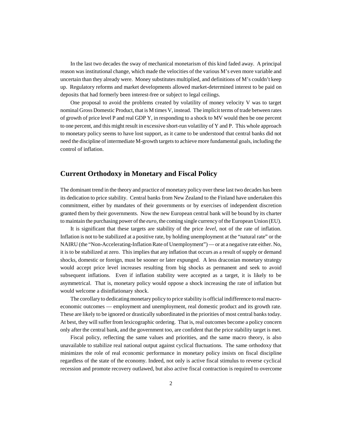In the last two decades the sway of mechanical monetarism of this kind faded away. A principal reason was institutional change, which made the velocities of the various M's even more variable and uncertain than they already were. Money substitutes multiplied, and definitions of M's couldn't keep up. Regulatory reforms and market developments allowed market-determined interest to be paid on deposits that had formerly been interest-free or subject to legal ceilings.

One proposal to avoid the problems created by volatility of money velocity V was to target nominal Gross Domestic Product, that is M times V, instead. The implicit terms of trade between rates of growth of price level P and real GDP Y, in responding to a shock to MV would then be one percent to one percent, and this might result in excessive short-run volatility of Y and P. This whole approach to monetary policy seems to have lost support, as it came to be understood that central banks did not need the discipline of intermediate M-growth targets to achieve more fundamental goals, including the control of inflation.

#### **Current Orthodoxy in Monetary and Fiscal Policy**

The dominant trend in the theory and practice of monetary policy over these last two decades has been its dedication to price stability. Central banks from New Zealand to the Finland have undertaken this commitment, either by mandates of their governments or by exercises of independent discretion granted them by their governments. Now the new European central bank will be bound by its charter to maintain the purchasing power of the *euro*, the coming single currency of the European Union (EU).

It is significant that these targets are stability of the price *level*, not of the rate of inflation. Inflation is not to be stabilized at a positive rate, by holding unemployment at the "natural rate" or the NAIRU (the "Non-Accelerating-Inflation Rate of Unemployment") — or at a negative rate either. No, it is to be stabilized at zero. This implies that any inflation that occurs as a result of supply or demand shocks, domestic or foreign, must be sooner or later expunged. A less draconian monetary strategy would accept price level increases resulting from big shocks as permanent and seek to avoid subsequent inflations. Even if inflation stability were accepted as a target, it is likely to be asymmetrical. That is, monetary policy would oppose a shock increasing the rate of inflation but would welcome a disinflationary shock.

The corollary to dedicating monetary policy to price stability is official indifference to real macroeconomic outcomes — employment and unemployment, real domestic product and its growth rate. These are likely to be ignored or drastically subordinated in the priorities of most central banks today. At best, they will suffer from lexicographic ordering. That is, real outcomes become a policy concern only after the central bank, and the government too, are confident that the price stability target is met.

Fiscal policy, reflecting the same values and priorities, and the same macro theory, is also unavailable to stabilize real national output against cyclical fluctuations. The same orthodoxy that minimizes the role of real economic performance in monetary policy insists on fiscal discipline regardless of the state of the economy. Indeed, not only is active fiscal stimulus to reverse cyclical recession and promote recovery outlawed, but also active fiscal contraction is required to overcome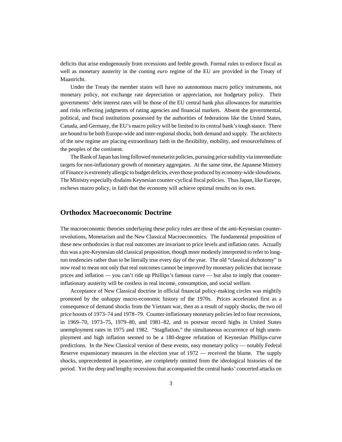deficits that arise endogenously from recessions and feeble growth. Formal rules to enforce fiscal as well as monetary austerity in the coming *euro* regime of the EU are provided in the Treaty of Maastricht.

Under the Treaty the member states will have no autonomous macro policy instruments, not monetary policy, not exchange rate depreciation or appreciation, not budgetary policy. Their governments' debt interest rates will be those of the EU central bank plus allowances for maturities and risks reflecting judgments of rating agencies and financial markets. Absent the governmental, political, and fiscal institutions possessed by the authorities of federations like the United States, Canada, and Germany, the EU's macro policy will be limited to its central bank's tough stance. There are bound to be both Europe-wide and inter-regional shocks, both demand and supply. The architects of the new regime are placing extraordinary faith in the flexibility, mobility, and resourcefulness of the peoples of the continent.

The Bank of Japan has long followed monetarist policies, pursuing price stability via intermediate targets for non-inflationary growth of monetary aggregates. At the same time, the Japanese Ministry of Finance is extremely allergic to budget deficits, even those produced by economy-wide slowdowns. The Ministry especially disdains Keynesian counter-cyclical fiscal policies. Thus Japan, like Europe, eschews macro policy, in faith that the economy will achieve optimal results on its own.

#### **Orthodox Macroeconomic Doctrine**

The macroeconomic theories underlaying these policy rules are those of the anti-Keynesian counterrevolutions, Monetarism and the New Classical Macroeconomics. The fundamental proposition of these new orthodoxies is that real outcomes are invariant to price levels and inflation rates. Actually this was a pre-Keynesian old classical proposition, though more modestly interpreted to refer to longrun tendencies rather than to be literally true every day of the year. The old "classical dichotomy" is now read to mean not only that real outcomes cannot be improved by monetary policies that increase prices and inflation — you can't ride up Phillips's famous curve — but also to imply that counterinflationary austerity will be costless in real income, consumption, and social welfare.

Acceptance of New Classical doctrine in official financial policy-making circles was mightily promoted by the unhappy macro-economic history of the 1970s. Prices accelerated first as a consequence of demand shocks from the Vietnam war, then as a result of supply shocks, the two oil price boosts of 1973–74 and 1978–79. Counter-inflationary monetary policies led to four recessions, in 1969–70, 1973–75, 1979–80, and 1981–82, and to postwar record highs in United States unemployment rates in 1975 and 1982. "Stagflation," the simultaneous occurrence of high unemployment and high inflation seemed to be a 180-degree refutation of Keynesian Phillips-curve predictions. In the New Classical version of these events, easy monetary policy — notably Federal Reserve expansionary measures in the election year of 1972 — received the blame. The supply shocks, unprecedented in peacetime, are completely omitted from the ideological histories of the period. Yet the deep and lengthy recessions that accompanied the central banks' concerted attacks on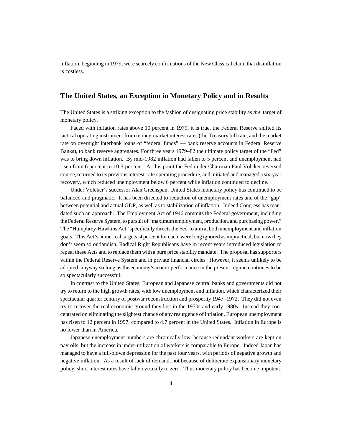inflation, beginning in 1979, were scarcely confirmations of the New Classical claim that disinflation is costless.

#### **The United States, an Exception in Monetary Policy and in Results**

The United States is a striking exception to the fashion of designating price stability as *the* target of monetary policy.

Faced with inflation rates above 10 percent in 1979, it is true, the Federal Reserve shifted its tactical operating instrument from money-market interest rates (the Treasury bill rate, and the market rate on overnight interbank loans of "federal funds" — bank reserve accounts in Federal Reserve Banks), to bank reserve aggregates. For three years 1979–82 the ultimate policy target of the "Fed" was to bring down inflation. By mid-1982 inflation had fallen to 5 percent and unemployment had risen from 6 percent to 10.5 percent. At this point the Fed under Chairman Paul Volcker reversed course, returned to its previous interest-rate operating procedure, and initiated and managed a six-year recovery, which reduced unemployment below 6 percent while inflation continued to decline.

Under Volcker's successor Alan Greenspan, United States monetary policy has continued to be balanced and pragmatic. It has been directed to reduction of unemployment rates and of the "gap" between potential and actual GDP, as well as to stabilization of inflation. Indeed Congress has mandated such an approach. The Employment Act of 1946 commits the Federal government, including the Federal Reserve System, to pursuit of "maximum employment, production, and purchasing power." The "Humphrey-Hawkins Act" specifically directs the Fed to aim at both unemployment and inflation goals. This Act's numerical targets, 4 percent for each, were long ignored as impractical, but now they don't seem so outlandish. Radical Right Republicans have in recent years introduced legislation to repeal these Acts and to replace them with a pure price stability mandate. The proposal has supporters within the Federal Reserve System and in private financial circles. However, it seems unlikely to be adopted, anyway so long as the economy's macro performance in the present regime continues to be so spectacularly successful.

In contrast to the United States, European and Japanese central banks and governments did not try to return to the high growth rates, with low unemployment and inflation, which characterized their spectacular quarter century of postwar reconstruction and prosperity 1947–1972. They did not even try to recover the real economic ground they lost in the 1970s and early 1980s. Instead they concentrated on eliminating the slightest chance of any resurgence of inflation. European unemployment has risen to 12 percent in 1997, compared to 4.7 percent in the United States. Inflation in Europe is no lower than in America.

Japanese unemployment numbers are chronically low, because redundant workers are kept on payrolls; but the increase in under-utilization of workers is comparable to Europe. Indeed Japan has managed to have a full-blown depression for the past four years, with periods of negative growth and negative inflation. As a result of lack of demand, not because of deliberate expansionary monetary policy, short interest rates have fallen virtually to zero. Thus monetary policy has become impotent,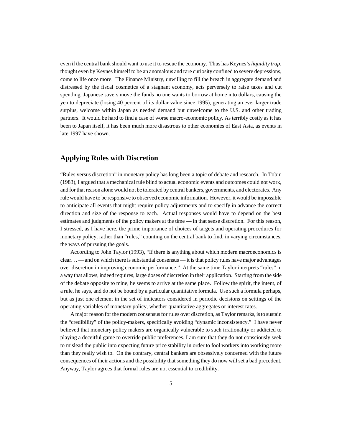even if the central bank should want to use it to rescue the economy. Thus has Keynes's *liquidity trap*, thought even by Keynes himself to be an anomalous and rare curiosity confined to severe depressions, come to life once more. The Finance Ministry, unwilling to fill the breach in aggregate demand and distressed by the fiscal cosmetics of a stagnant economy, acts perversely to raise taxes and cut spending. Japanese savers move the funds no one wants to borrow at home into dollars, causing the yen to depreciate (losing 40 percent of its dollar value since 1995), generating an ever larger trade surplus, welcome within Japan as needed demand but unwelcome to the U.S. and other trading partners. It would be hard to find a case of worse macro-economic policy. As terribly costly as it has been to Japan itself, it has been much more disastrous to other economies of East Asia, as events in late 1997 have shown.

### **Applying Rules with Discretion**

"Rules versus discretion" in monetary policy has long been a topic of debate and research. In Tobin (1983), I argued that a mechanical rule blind to actual economic events and outcomes could not work, and for that reason alone would not be tolerated by central bankers, governments, and electorates. Any rule would have to be responsive to observed economic information. However, it would be impossible to anticipate all events that might require policy adjustments and to specify in advance the correct direction and size of the response to each. Actual responses would have to depend on the best estimates and judgments of the policy makers at the time — in that sense discretion. For this reason, I stressed, as I have here, the prime importance of choices of targets and operating procedures for monetary policy, rather than "rules," counting on the central bank to find, in varying circumstances, the ways of pursuing the goals.

According to John Taylor (1993), "If there is anything about which modern macroeconomics is clear. . . — and on which there is substantial consensus — it is that policy rules have major advantages over discretion in improving economic performance." At the same time Taylor interprets "rules" in a way that allows, indeed requires, large doses of discretion in their application. Starting from the side of the debate opposite to mine, he seems to arrive at the same place. Follow the spirit, the intent, of a rule, he says, and do not be bound by a particular quantitative formula. Use such a formula perhaps, but as just one element in the set of indicators considered in periodic decisions on settings of the operating variables of monetary policy, whether quantitative aggregates or interest rates.

A major reason for the modern consensus for rules over discretion, as Taylor remarks, is to sustain the "credibility" of the policy-makers, specifically avoiding "dynamic inconsistency." I have never believed that monetary policy makers are organically vulnerable to such irrationality or addicted to playing a deceitful game to override public preferences. I am sure that they do not consciously seek to mislead the public into expecting future price stability in order to fool workers into working more than they really wish to. On the contrary, central bankers are obsessively concerned with the future consequences of their actions and the possibility that something they do now will set a bad precedent. Anyway, Taylor agrees that formal rules are not essential to credibility.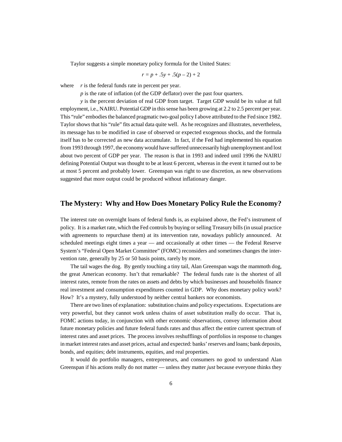Taylor suggests a simple monetary policy formula for the United States:

$$
r = p + .5y + .5(p - 2) + 2
$$

where *r* is the federal funds rate in percent per year.

*p* is the rate of inflation (of the GDP deflator) over the past four quarters.

*y* is the percent deviation of real GDP from target. Target GDP would be its value at full employment, i.e., NAIRU. Potential GDP in this sense has been growing at 2.2 to 2.5 percent per year. This "rule" embodies the balanced pragmatic two-goal policy I above attributed to the Fed since 1982. Taylor shows that his "rule" fits actual data quite well. As he recognizes and illustrates, nevertheless, its message has to be modified in case of observed or expected exogenous shocks, and the formula itself has to be corrected as new data accumulate. In fact, if the Fed had implemented his equation from 1993 through 1997, the economy would have suffered unnecessarily high unemployment and lost about two percent of GDP per year. The reason is that in 1993 and indeed until 1996 the NAIRU defining Potential Output was thought to be at least 6 percent, whereas in the event it turned out to be at most 5 percent and probably lower. Greenspan was right to use discretion, as new observations suggested that more output could be produced without inflationary danger.

#### **The Mystery: Why and How Does Monetary Policy Rule the Economy?**

The interest rate on overnight loans of federal funds is, as explained above, the Fed's instrument of policy. It is a market rate, which the Fed controls by buying or selling Treasury bills (in usual practice with agreements to repurchase them) at its intervention rate, nowadays publicly announced. At scheduled meetings eight times a year — and occasionally at other times — the Federal Reserve System's "Federal Open Market Committee" (FOMC) reconsiders and sometimes changes the intervention rate, generally by 25 or 50 basis points, rarely by more.

The tail wages the dog. By gently touching a tiny tail, Alan Greenspan wags the mammoth dog, the great American economy. Isn't that remarkable? The federal funds rate is the shortest of all interest rates, remote from the rates on assets and debts by which businesses and households finance real investment and consumption expenditures counted in GDP. Why does monetary policy work? How? It's a mystery, fully understood by neither central bankers nor economists.

There are two lines of explanation: substitution chains and policy expectations. Expectations are very powerful, but they cannot work unless chains of asset substitution really do occur. That is, FOMC actions today, in conjunction with other economic observations, convey information about future monetary policies and future federal funds rates and thus affect the entire current spectrum of interest rates and asset prices. The process involves reshufflings of portfolios in response to changes in market interest rates and asset prices, actual and expected: banks' reserves and loans; bank deposits, bonds, and equities; debt instruments, equities, and real properties.

It would do portfolio managers, entrepreneurs, and consumers no good to understand Alan Greenspan if his actions really do not matter — unless they matter *just* because everyone thinks they